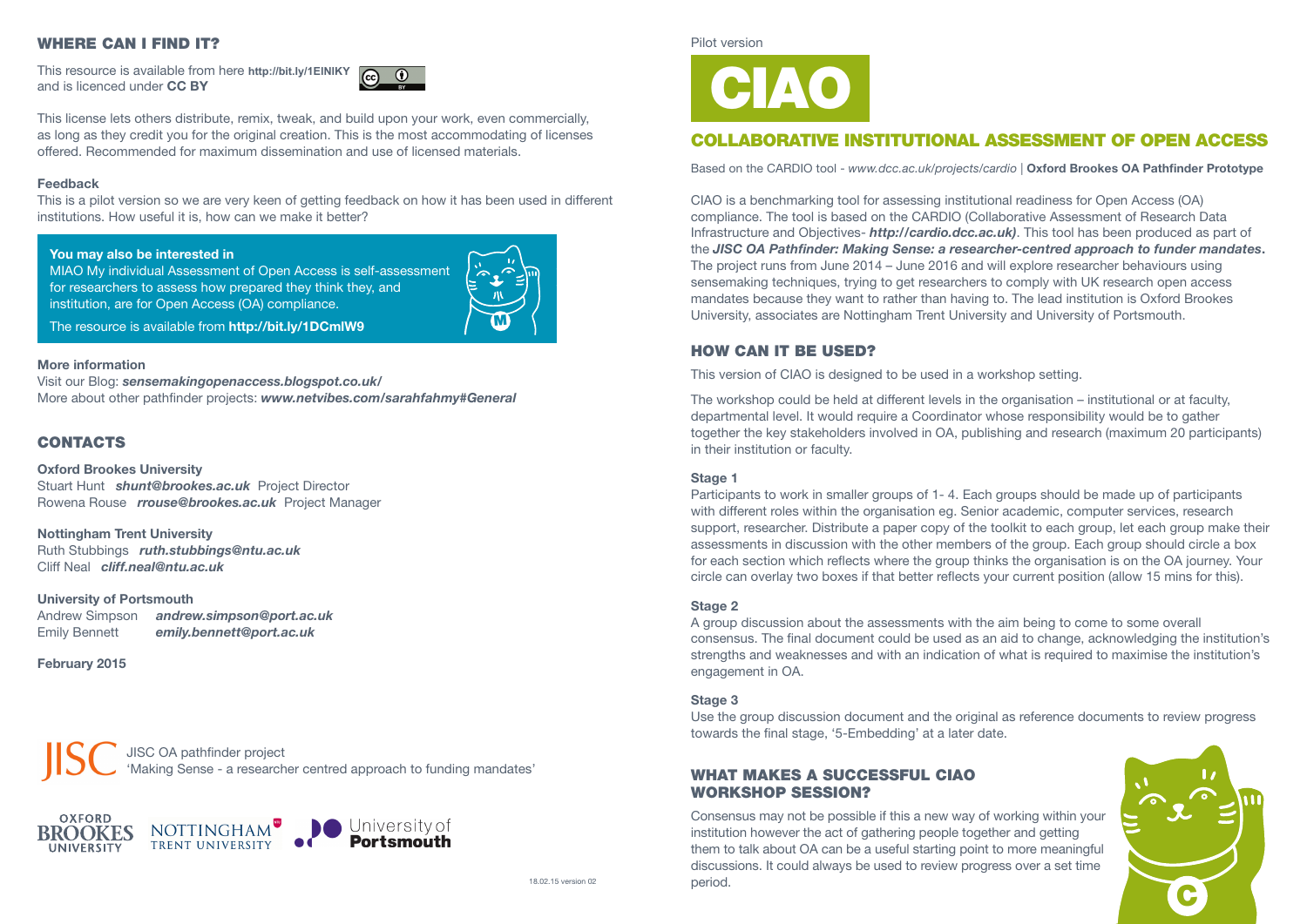Pilot version

# COLLABORATIVE INSTITUTIONAL ASSESSMENT OF OPEN ACCESS

Based on the CARDIO tool - *www.dcc.ac.uk/projects/cardio* | **Oxford Brookes OA Pathfinder Prototype**

CIAO is a benchmarking tool for assessing institutional readiness for Open Access (OA) compliance. The tool is based on the CARDIO (Collaborative Assessment of Research Data Infrastructure and Objectives- *http://cardio.dcc.ac.uk)*. This tool has been produced as part of the *JISC OA Pathfinder: Making Sense: a researcher-centred approach to funder mandates***.**  The project runs from June 2014 – June 2016 and will explore researcher behaviours using sensemaking techniques, trying to get researchers to comply with UK research open access mandates because they want to rather than having to. The lead institution is Oxford Brookes University, associates are Nottingham Trent University and University of Portsmouth.

# HOW CAN IT BE USED?

This version of CIAO is designed to be used in a workshop setting.

The workshop could be held at different levels in the organisation – institutional or at faculty, departmental level. It would require a Coordinator whose responsibility would be to gather together the key stakeholders involved in OA, publishing and research (maximum 20 participants) in their institution or faculty.

Consensus may not be possible if this a new way of working within your institution however the act of gathering people together and getting them to talk about OA can be a useful starting point to more meaningful discussions. It could always be used to review progress over a set time period. 18.02.15 version 02 contract the period.



### **Stage 1**

Participants to work in smaller groups of 1- 4. Each groups should be made up of participants with different roles within the organisation eg. Senior academic, computer services, research support, researcher. Distribute a paper copy of the toolkit to each group, let each group make their assessments in discussion with the other members of the group. Each group should circle a box for each section which reflects where the group thinks the organisation is on the OA journey. Your circle can overlay two boxes if that better reflects your current position (allow 15 mins for this).

MIAO My individual Assessment of Open Access is self-assessment for researchers to assess how prepared they think they, and institution, are for Open Access (OA) compliance.

### **Stage 2**

A group discussion about the assessments with the aim being to come to some overall consensus. The final document could be used as an aid to change, acknowledging the institution's strengths and weaknesses and with an indication of what is required to maximise the institution's engagement in OA.

### **Stage 3**

Use the group discussion document and the original as reference documents to review progress towards the final stage, '5-Embedding' at a later date.

## WHAT MAKES A SUCCESSFUL CIAO WORKSHOP SESSION?

# WHERE CAN I FIND IT?

This resource is available from here **http://bit.ly/1ElNlKY** and is licenced under **CC BY**



This license lets others distribute, remix, tweak, and build upon your work, even commercially, as long as they credit you for the original creation. This is the most accommodating of licenses offered. Recommended for maximum dissemination and use of licensed materials.

### **Feedback**

This is a pilot version so we are very keen of getting feedback on how it has been used in different institutions. How useful it is, how can we make it better?

### **You may also be interested in**

The resource is available from **http://bit.ly/1DCmlW9** 

### **More information**

Visit our Blog: *sensemakingopenaccess.blogspot.co.uk/* More about other pathfinder projects: *www.netvibes.com/sarahfahmy#General*

# **CONTACTS**

### **Oxford Brookes University**

Stuart Hunt *shunt@brookes.ac.uk* Project Director Rowena Rouse *rrouse@brookes.ac.uk* Project Manager

**Nottingham Trent University** Ruth Stubbings *ruth.stubbings@ntu.ac.uk* Cliff Neal *cliff.neal@ntu.ac.uk*

### **University of Portsmouth**

| <b>Andrew Simpson</b> | andrew.simpson@port.ac.uk |
|-----------------------|---------------------------|
| <b>Emily Bennett</b>  | emily.bennett@port.ac.uk  |

### **February 2015**

JISC OA pathfinder project 'Making Sense - a researcher centred approach to funding mandates'







# CIAO